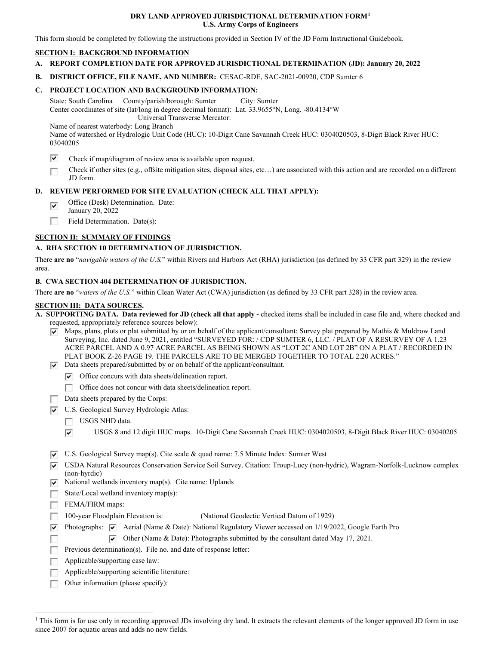#### **DRY LAND APPROVED JURISDICTIONAL DETERMINATION FORM[1](#page-0-0) U.S. Army Corps of Engineers**

This form should be completed by following the instructions provided in Section IV of the JD Form Instructional Guidebook.

#### **SECTION I: BACKGROUND INFORMATION**

- **A. REPORT COMPLETION DATE FOR APPROVED JURISDICTIONAL DETERMINATION (JD): January 20, 2022**
- **B. DISTRICT OFFICE, FILE NAME, AND NUMBER:** CESAC-RDE, SAC-2021-00920, CDP Sumter 6

## **C. PROJECT LOCATION AND BACKGROUND INFORMATION:**

 State: South Carolina County/parish/borough: Sumter City: Sumter Center coordinates of site (lat/long in degree decimal format): Lat. 33.9655°N, Long. -80.4134°W Universal Transverse Mercator:

Name of nearest waterbody: Long Branch

 Name of watershed or Hydrologic Unit Code (HUC): 10-Digit Cane Savannah Creek HUC: 0304020503, 8-Digit Black River HUC: 03040205

- ⊽ Check if map/diagram of review area is available upon request.
- Check if other sites (e.g., offsite mitigation sites, disposal sites, etc…) are associated with this action and are recorded on a different □ JD form.

## **D. REVIEW PERFORMED FOR SITE EVALUATION (CHECK ALL THAT APPLY):**

- Office (Desk) Determination. Date:  $\overline{\mathbf{v}}$
- January 20, 2022
- □ Field Determination. Date(s):

## **SECTION II: SUMMARY OF FINDINGS**

## **A. RHA SECTION 10 DETERMINATION OF JURISDICTION.**

 There **are no** "*navigable waters of the U.S.*" within Rivers and Harbors Act (RHA) jurisdiction (as defined by 33 CFR part 329) in the review area.

#### **B. CWA SECTION 404 DETERMINATION OF JURISDICTION.**

There **are no** "*waters of the U.S.*" within Clean Water Act (CWA) jurisdiction (as defined by 33 CFR part 328) in the review area.

## **SECTION III: DATA SOURCES.**

 requested, appropriately reference sources below): **A. SUPPORTING DATA. Data reviewed for JD (check all that apply -** checked items shall be included in case file and, where checked and

- $\blacktriangledown$  Maps, plans, plots or plat submitted by or on behalf of the applicant/consultant: Survey plat prepared by Mathis & Muldrow Land Surveying, Inc. dated June 9, 2021, entitled "SURVEYED FOR: / CDP SUMTER 6, LLC. / PLAT OF A RESURVEY OF A 1.23 ACRE PARCEL AND A 0.97 ACRE PARCEL AS BEING SHOWN AS "LOT 2C AND LOT 2B" ON A PLAT / RECORDED IN PLAT BOOK Z-26 PAGE 19. THE PARCELS ARE TO BE MERGED TOGETHER TO TOTAL 2.20 ACRES."
- $\nabla$  Data sheets prepared/submitted by or on behalf of the applicant/consultant.
	- $\triangledown$  Office concurs with data sheets/delineation report.
	- □ Office does not concur with data sheets/delineation report.
	- Data sheets prepared by the Corps:
- □ Data sheets prepared by the eorps.<br>○ U.S. Geological Survey Hydrologic Atlas:
	- USGS NHD data.
	- USGS 8 and 12 digit HUC maps. 10-Digit Cane Savannah Creek HUC: 0304020503, 8-Digit Black River HUC: 03040205  $\overline{\mathbf{v}}$
- $\nabla$  U.S. Geological Survey map(s). Cite scale & quad name: 7.5 Minute Index: Sumter West
- @ USDA Natural Resources Conservation Service Soil Survey. Citation: Troup-Lucy (non-hydric), Wagram-Norfolk-Lucknow complex (non-hyrdic)
- $\triangledown$  National wetlands inventory map(s). Cite name: Uplands
- □ State/Local wetland inventory map(s):
- □ FEMA/FIRM maps:
- 100-year Floodplain Elevation is: (National Geodectic Vertical Datum of 1929)
- □ Photographs: verifical Collective Collective Collection of 1929.<br>
Photographs: verifical (Name & Date): National Regulatory Viewer accessed on 1/19/2022, Google Earth Pro

□ @  $\triangledown$  Other (Name & Date): Photographs submitted by the consultant dated May 17, 2021.

- □ Previous determination(s). File no. and date of response letter:
- Applicable/supporting case law: □
- □ Applicable/supporting scientific literature:
- □ Other information (please specify):

<span id="page-0-0"></span><sup>&</sup>lt;sup>1</sup> This form is for use only in recording approved JDs involving dry land. It extracts the relevant elements of the longer approved JD form in use since 2007 for aquatic areas and adds no new fields.